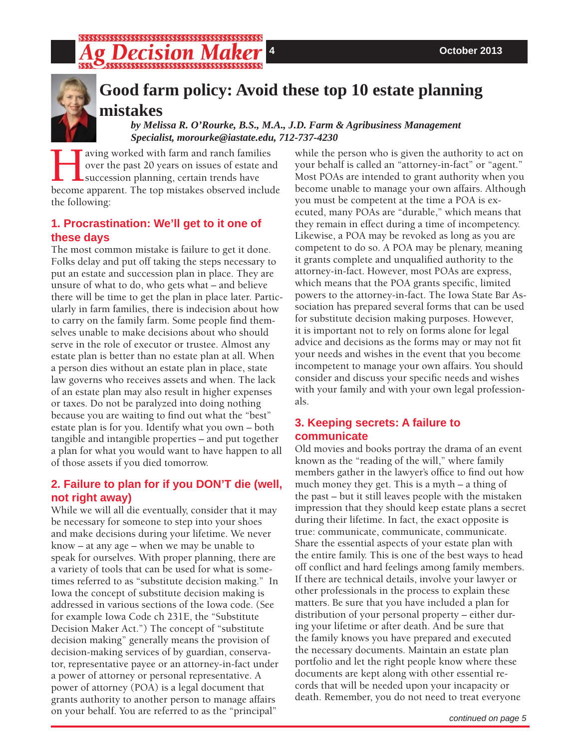# **Decision Ma**



## **Good farm policy: Avoid these top 10 estate planning mistakes**

#### *by Melissa R. O'Rourke, B.S., M.A., J.D. Farm & Agribusiness Management Specialist, morourke@iastate.edu, 712-737-4230*

**Faving worked with farm and ranch families** over the past 20 years on issues of estate and succession planning, certain trends have become apparent. The top mistakes observed include over the past 20 years on issues of estate and succession planning, certain trends have the following:

### **1. Procrastination: We'll get to it one of these days**

The most common mistake is failure to get it done. Folks delay and put off taking the steps necessary to put an estate and succession plan in place. They are unsure of what to do, who gets what – and believe there will be time to get the plan in place later. Particularly in farm families, there is indecision about how to carry on the family farm. Some people find themselves unable to make decisions about who should serve in the role of executor or trustee. Almost any estate plan is better than no estate plan at all. When a person dies without an estate plan in place, state law governs who receives assets and when. The lack of an estate plan may also result in higher expenses or taxes. Do not be paralyzed into doing nothing because you are waiting to find out what the "best" estate plan is for you. Identify what you own – both tangible and intangible properties – and put together a plan for what you would want to have happen to all of those assets if you died tomorrow.

## **2. Failure to plan for if you DON'T die (well, not right away)**

While we will all die eventually, consider that it may be necessary for someone to step into your shoes and make decisions during your lifetime. We never know – at any age – when we may be unable to speak for ourselves. With proper planning, there are a variety of tools that can be used for what is sometimes referred to as "substitute decision making." In Iowa the concept of substitute decision making is addressed in various sections of the Iowa code. (See for example Iowa Code ch 231E, the "Substitute Decision Maker Act.") The concept of "substitute decision making" generally means the provision of decision-making services of by guardian, conservator, representative payee or an attorney-in-fact under a power of attorney or personal representative. A power of attorney (POA) is a legal document that grants authority to another person to manage affairs on your behalf. You are referred to as the "principal"

while the person who is given the authority to act on your behalf is called an "attorney-in-fact" or "agent." Most POAs are intended to grant authority when you become unable to manage your own affairs. Although you must be competent at the time a POA is executed, many POAs are "durable," which means that they remain in effect during a time of incompetency. Likewise, a POA may be revoked as long as you are competent to do so. A POA may be plenary, meaning it grants complete and unqualified authority to the attorney-in-fact. However, most POAs are express, which means that the POA grants specific, limited powers to the attorney-in-fact. The Iowa State Bar Association has prepared several forms that can be used for substitute decision making purposes. However, it is important not to rely on forms alone for legal advice and decisions as the forms may or may not fit your needs and wishes in the event that you become incompetent to manage your own affairs. You should consider and discuss your specific needs and wishes with your family and with your own legal professionals.

### **3. Keeping secrets: A failure to communicate**

Old movies and books portray the drama of an event known as the "reading of the will," where family members gather in the lawyer's office to find out how much money they get. This is a myth – a thing of the past – but it still leaves people with the mistaken impression that they should keep estate plans a secret during their lifetime. In fact, the exact opposite is true: communicate, communicate, communicate. Share the essential aspects of your estate plan with the entire family. This is one of the best ways to head off conflict and hard feelings among family members. If there are technical details, involve your lawyer or other professionals in the process to explain these matters. Be sure that you have included a plan for distribution of your personal property – either during your lifetime or after death. And be sure that the family knows you have prepared and executed the necessary documents. Maintain an estate plan portfolio and let the right people know where these documents are kept along with other essential records that will be needed upon your incapacity or death. Remember, you do not need to treat everyone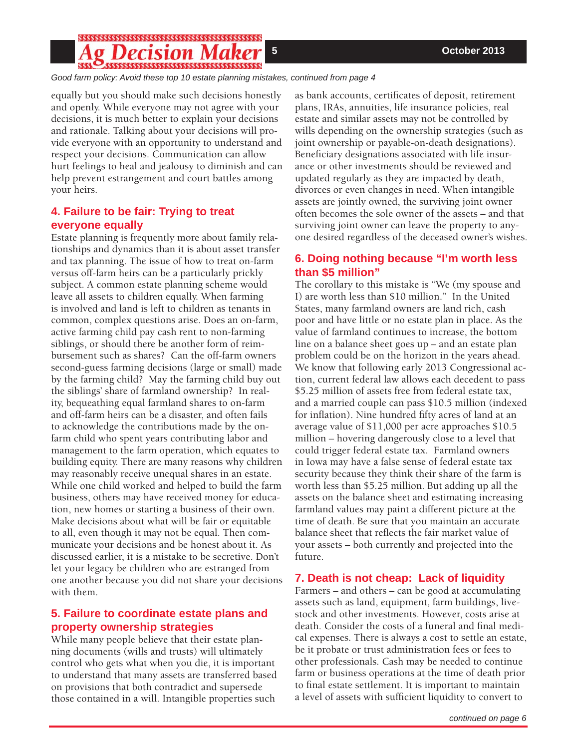#### *ecision Ma*

*Good farm policy: Avoid these top 10 estate planning mistakes, continued from page 4*

equally but you should make such decisions honestly and openly. While everyone may not agree with your decisions, it is much better to explain your decisions and rationale. Talking about your decisions will provide everyone with an opportunity to understand and respect your decisions. Communication can allow hurt feelings to heal and jealousy to diminish and can help prevent estrangement and court battles among your heirs.

#### **4. Failure to be fair: Trying to treat everyone equally**

Estate planning is frequently more about family relationships and dynamics than it is about asset transfer and tax planning. The issue of how to treat on-farm versus off-farm heirs can be a particularly prickly subject. A common estate planning scheme would leave all assets to children equally. When farming is involved and land is left to children as tenants in common, complex questions arise. Does an on-farm, active farming child pay cash rent to non-farming siblings, or should there be another form of reimbursement such as shares? Can the off-farm owners second-guess farming decisions (large or small) made by the farming child? May the farming child buy out the siblings' share of farmland ownership? In reality, bequeathing equal farmland shares to on-farm and off-farm heirs can be a disaster, and often fails to acknowledge the contributions made by the onfarm child who spent years contributing labor and management to the farm operation, which equates to building equity. There are many reasons why children may reasonably receive unequal shares in an estate. While one child worked and helped to build the farm business, others may have received money for education, new homes or starting a business of their own. Make decisions about what will be fair or equitable to all, even though it may not be equal. Then communicate your decisions and be honest about it. As discussed earlier, it is a mistake to be secretive. Don't let your legacy be children who are estranged from one another because you did not share your decisions with them.

#### **5. Failure to coordinate estate plans and property ownership strategies**

While many people believe that their estate planning documents (wills and trusts) will ultimately control who gets what when you die, it is important to understand that many assets are transferred based on provisions that both contradict and supersede those contained in a will. Intangible properties such

as bank accounts, certificates of deposit, retirement plans, IRAs, annuities, life insurance policies, real estate and similar assets may not be controlled by wills depending on the ownership strategies (such as joint ownership or payable-on-death designations). Beneficiary designations associated with life insurance or other investments should be reviewed and updated regularly as they are impacted by death, divorces or even changes in need. When intangible assets are jointly owned, the surviving joint owner often becomes the sole owner of the assets – and that surviving joint owner can leave the property to anyone desired regardless of the deceased owner's wishes.

#### **6. Doing nothing because "I'm worth less than \$5 million"**

The corollary to this mistake is "We (my spouse and I) are worth less than \$10 million." In the United States, many farmland owners are land rich, cash poor and have little or no estate plan in place. As the value of farmland continues to increase, the bottom line on a balance sheet goes up – and an estate plan problem could be on the horizon in the years ahead. We know that following early 2013 Congressional action, current federal law allows each decedent to pass \$5.25 million of assets free from federal estate tax, and a married couple can pass \$10.5 million (indexed for inflation). Nine hundred fifty acres of land at an average value of \$11,000 per acre approaches \$10.5 million – hovering dangerously close to a level that could trigger federal estate tax. Farmland owners in Iowa may have a false sense of federal estate tax security because they think their share of the farm is worth less than \$5.25 million. But adding up all the assets on the balance sheet and estimating increasing farmland values may paint a different picture at the time of death. Be sure that you maintain an accurate balance sheet that reflects the fair market value of your assets – both currently and projected into the future.

#### **7. Death is not cheap: Lack of liquidity**

Farmers – and others – can be good at accumulating assets such as land, equipment, farm buildings, livestock and other investments. However, costs arise at death. Consider the costs of a funeral and final medical expenses. There is always a cost to settle an estate, be it probate or trust administration fees or fees to other professionals. Cash may be needed to continue farm or business operations at the time of death prior to final estate settlement. It is important to maintain a level of assets with sufficient liquidity to convert to